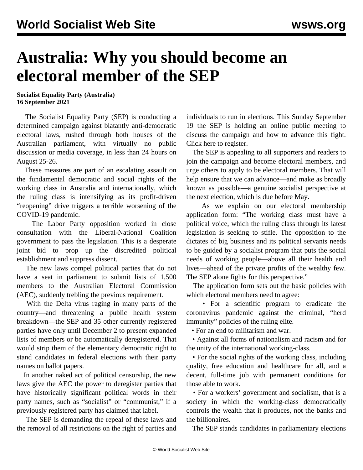## **Australia: Why you should become an electoral member of the SEP**

## **Socialist Equality Party (Australia) 16 September 2021**

 The Socialist Equality Party (SEP) is conducting a determined campaign against blatantly anti-democratic electoral laws, rushed through both houses of the Australian parliament, with virtually no public discussion or media coverage, in less than 24 hours on August 25-26.

 These measures are part of an escalating assault on the fundamental democratic and social rights of the working class in Australia and internationally, which the ruling class is intensifying as its profit-driven "reopening" drive triggers a terrible worsening of the COVID-19 pandemic.

 The Labor Party opposition worked in close consultation with the Liberal-National Coalition government to pass the legislation. This is a desperate joint bid to prop up the discredited political establishment and suppress dissent.

 The new laws compel political parties that do not have a seat in parliament to submit lists of 1,500 members to the Australian Electoral Commission (AEC), suddenly trebling the previous requirement.

 With the Delta virus raging in many parts of the country—and threatening a public health system breakdown—the SEP and 35 other currently registered parties have only until December 2 to present expanded lists of members or be automatically deregistered. That would strip them of the elementary democratic right to stand candidates in federal elections with their party names on ballot papers.

 In another naked act of political censorship, the new laws give the AEC the [power](/en/articles/2021/09/11/soci-s11.html) to deregister parties that have historically significant political words in their party names, such as "socialist" or "communist," if a previously registered party has claimed that label.

 The SEP is demanding the repeal of these laws and the removal of all restrictions on the right of parties and individuals to run in elections. This Sunday September 19 the SEP is holding an online public meeting to discuss the campaign and how to advance this fight. Click here to [register](https://us06web.zoom.us/webinar/register/WN_3w8MaFnESJuxWP5_QKKBiw).

 The SEP is appealing to all supporters and readers to join the campaign and [become electoral members](/en/special/pages/sep/australia/home.html#emjoin), and urge others to apply to be electoral members. That will help ensure that we can advance—and make as broadly known as possible—a genuine socialist perspective at the next election, which is due before May.

 As we explain on our electoral membership application form: "The working class must have a political voice, which the ruling class through its latest legislation is seeking to stifle. The opposition to the dictates of big business and its political servants needs to be guided by a socialist program that puts the social needs of working people—above all their health and lives—ahead of the private profits of the wealthy few. The SEP alone fights for this perspective."

 The application form sets out the basic policies with which electoral members need to agree:

 • For a scientific program to eradicate the coronavirus pandemic against the criminal, "herd immunity" policies of the ruling elite.

• For an end to militarism and war.

 • Against all forms of nationalism and racism and for the unity of the international working-class.

 • For the social rights of the working class, including quality, free education and healthcare for all, and a decent, full-time job with permanent conditions for those able to work.

 • For a workers' government and socialism, that is a society in which the working-class democratically controls the wealth that it produces, not the banks and the billionaires.

The SEP stands candidates in parliamentary elections